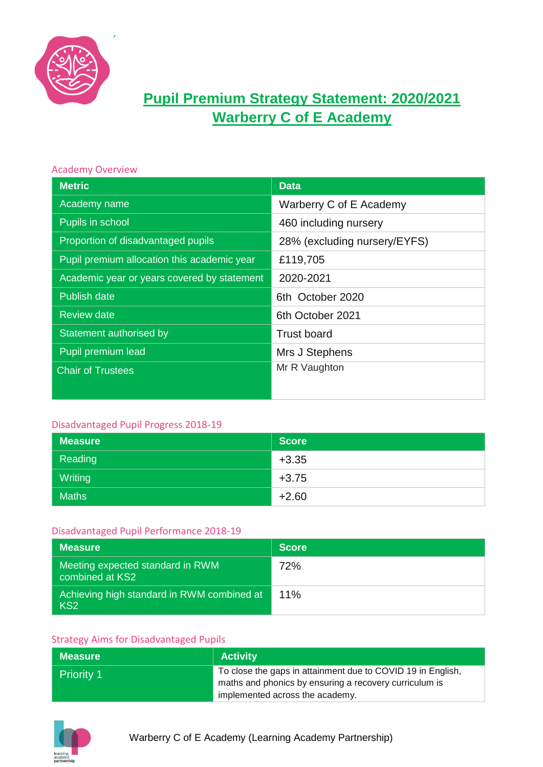

# **Pupil Premium Strategy Statement: 2020/2021 Warberry C of E Academy**

### Academy Overview

| <b>Metric</b>                               | <b>Data</b>                  |
|---------------------------------------------|------------------------------|
| Academy name                                | Warberry C of E Academy      |
| Pupils in school                            | 460 including nursery        |
| Proportion of disadvantaged pupils          | 28% (excluding nursery/EYFS) |
| Pupil premium allocation this academic year | £119,705                     |
| Academic year or years covered by statement | 2020-2021                    |
| <b>Publish date</b>                         | 6th October 2020             |
| <b>Review date</b>                          | 6th October 2021             |
| Statement authorised by                     | <b>Trust board</b>           |
| Pupil premium lead                          | Mrs J Stephens               |
| <b>Chair of Trustees</b>                    | Mr R Vaughton                |
|                                             |                              |

## Disadvantaged Pupil Progress 2018-19

| <b>Measure</b> | <b>Score</b> |
|----------------|--------------|
| Reading        | $+3.35$      |
| Writing        | $+3.75$      |
| <b>Maths</b>   | $+2.60$      |

#### Disadvantaged Pupil Performance 2018-19

| <b>Measure</b>                                                | <b>Score</b> |
|---------------------------------------------------------------|--------------|
| Meeting expected standard in RWM<br>combined at KS2           | 72%          |
| Achieving high standard in RWM combined at<br>KS <sub>2</sub> | 11%          |

## Strategy Aims for Disadvantaged Pupils

| Measure           | <b>Activity</b>                                                                                                       |
|-------------------|-----------------------------------------------------------------------------------------------------------------------|
| <b>Priority 1</b> | To close the gaps in attainment due to COVID 19 in English,<br>maths and phonics by ensuring a recovery curriculum is |
|                   | implemented across the academy.                                                                                       |

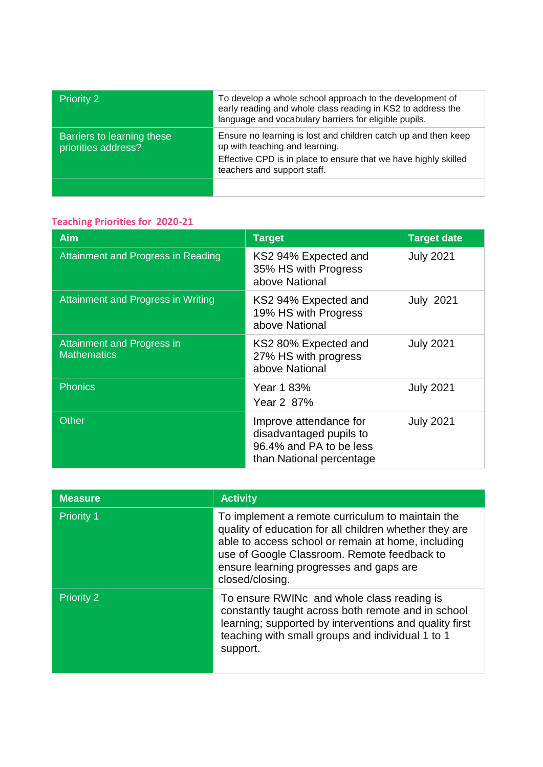| <b>Priority 2</b>                                 | To develop a whole school approach to the development of<br>early reading and whole class reading in KS2 to address the<br>language and vocabulary barriers for eligible pupils.                   |
|---------------------------------------------------|----------------------------------------------------------------------------------------------------------------------------------------------------------------------------------------------------|
| Barriers to learning these<br>priorities address? | Ensure no learning is lost and children catch up and then keep<br>up with teaching and learning.<br>Effective CPD is in place to ensure that we have highly skilled<br>teachers and support staff. |
|                                                   |                                                                                                                                                                                                    |

# **Teaching Priorities for 2020-21**

| <b>Aim</b>                                              | <b>Target</b>                                                                                            | <b>Target date</b> |
|---------------------------------------------------------|----------------------------------------------------------------------------------------------------------|--------------------|
| Attainment and Progress in Reading                      | KS2 94% Expected and<br>35% HS with Progress<br>above National                                           | <b>July 2021</b>   |
| Attainment and Progress in Writing                      | KS2 94% Expected and<br>19% HS with Progress<br>above National                                           | <b>July 2021</b>   |
| <b>Attainment and Progress in</b><br><b>Mathematics</b> | KS2 80% Expected and<br>27% HS with progress<br>above National                                           | <b>July 2021</b>   |
| <b>Phonics</b>                                          | Year 1 83%<br>Year 2 87%                                                                                 | <b>July 2021</b>   |
| Other                                                   | Improve attendance for<br>disadvantaged pupils to<br>96.4% and PA to be less<br>than National percentage | <b>July 2021</b>   |

| <b>Measure</b>    | <b>Activity</b>                                                                                                                                                                                                                                                               |
|-------------------|-------------------------------------------------------------------------------------------------------------------------------------------------------------------------------------------------------------------------------------------------------------------------------|
| <b>Priority 1</b> | To implement a remote curriculum to maintain the<br>quality of education for all children whether they are<br>able to access school or remain at home, including<br>use of Google Classroom. Remote feedback to<br>ensure learning progresses and gaps are<br>closed/closing. |
| <b>Priority 2</b> | To ensure RWINc and whole class reading is<br>constantly taught across both remote and in school<br>learning; supported by interventions and quality first<br>teaching with small groups and individual 1 to 1<br>support.                                                    |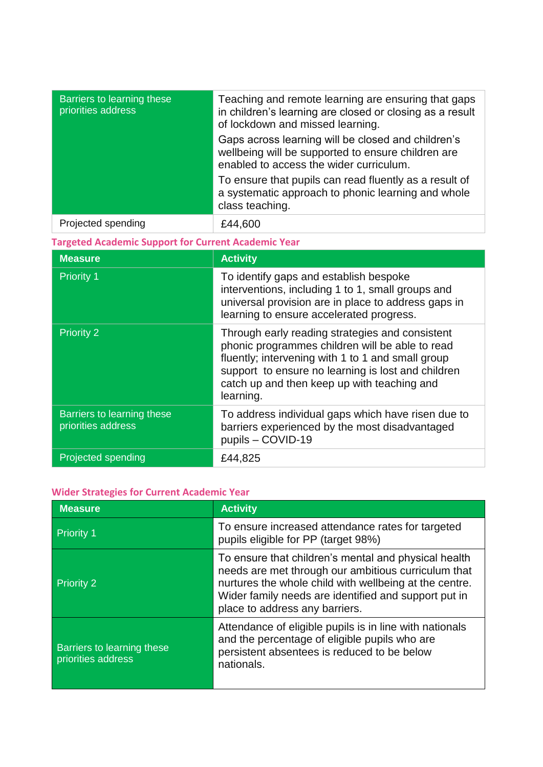| Barriers to learning these<br>priorities address           | Teaching and remote learning are ensuring that gaps<br>in children's learning are closed or closing as a result<br>of lockdown and missed learning.<br>Gaps across learning will be closed and children's<br>wellbeing will be supported to ensure children are<br>enabled to access the wider curriculum.<br>To ensure that pupils can read fluently as a result of<br>a systematic approach to phonic learning and whole<br>class teaching. |  |
|------------------------------------------------------------|-----------------------------------------------------------------------------------------------------------------------------------------------------------------------------------------------------------------------------------------------------------------------------------------------------------------------------------------------------------------------------------------------------------------------------------------------|--|
| Projected spending                                         | £44,600                                                                                                                                                                                                                                                                                                                                                                                                                                       |  |
| <b>Targeted Academic Support for Current Academic Year</b> |                                                                                                                                                                                                                                                                                                                                                                                                                                               |  |
| <b>Measure</b>                                             | <b>Activity</b>                                                                                                                                                                                                                                                                                                                                                                                                                               |  |
| <b>Priority 1</b>                                          | To identify gaps and establish bespoke<br>interventions, including 1 to 1, small groups and<br>universal provision are in place to address gaps in                                                                                                                                                                                                                                                                                            |  |

**Priority 2 Through early reading strategies and consistent** 

pupils – COVID-19

learning.

learning to ensure accelerated progress.

phonic programmes children will be able to read fluently; intervening with 1 to 1 and small group support to ensure no learning is lost and children catch up and then keep up with teaching and

To address individual gaps which have risen due to barriers experienced by the most disadvantaged

| <b>Projected spending</b> | £44,825 |
|---------------------------|---------|
|                           |         |

#### **Wider Strategies for Current Academic Year**

Barriers to learning these

priorities address

| <b>Measure</b>                                   | <b>Activity</b>                                                                                                                                                                                                                                                 |
|--------------------------------------------------|-----------------------------------------------------------------------------------------------------------------------------------------------------------------------------------------------------------------------------------------------------------------|
| <b>Priority 1</b>                                | To ensure increased attendance rates for targeted<br>pupils eligible for PP (target 98%)                                                                                                                                                                        |
| <b>Priority 2</b>                                | To ensure that children's mental and physical health<br>needs are met through our ambitious curriculum that<br>nurtures the whole child with wellbeing at the centre.<br>Wider family needs are identified and support put in<br>place to address any barriers. |
| Barriers to learning these<br>priorities address | Attendance of eligible pupils is in line with nationals<br>and the percentage of eligible pupils who are<br>persistent absentees is reduced to be below<br>nationals.                                                                                           |